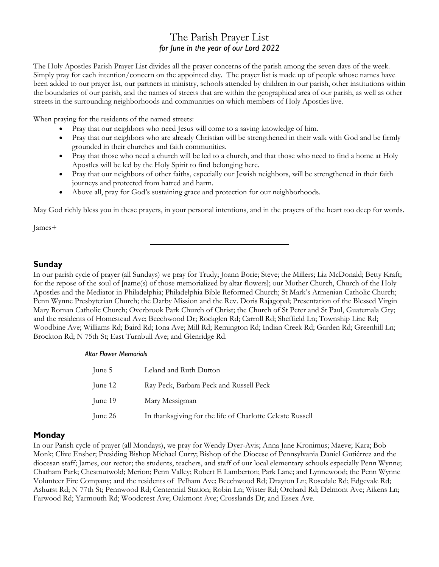# The Parish Prayer List for June in the year of our Lord 2022

The Holy Apostles Parish Prayer List divides all the prayer concerns of the parish among the seven days of the week. Simply pray for each intention/concern on the appointed day. The prayer list is made up of people whose names have been added to our prayer list, our partners in ministry, schools attended by children in our parish, other institutions within the boundaries of our parish, and the names of streets that are within the geographical area of our parish, as well as other streets in the surrounding neighborhoods and communities on which members of Holy Apostles live.

When praying for the residents of the named streets:

- Pray that our neighbors who need Jesus will come to a saving knowledge of him.
- Pray that our neighbors who are already Christian will be strengthened in their walk with God and be firmly grounded in their churches and faith communities.
- Pray that those who need a church will be led to a church, and that those who need to find a home at Holy Apostles will be led by the Holy Spirit to find belonging here.
- Pray that our neighbors of other faiths, especially our Jewish neighbors, will be strengthened in their faith journeys and protected from hatred and harm.
- · Above all, pray for God's sustaining grace and protection for our neighborhoods.

May God richly bless you in these prayers, in your personal intentions, and in the prayers of the heart too deep for words.

James+

## Sunday

In our parish cycle of prayer (all Sundays) we pray for Trudy; Joann Borie; Steve; the Millers; Liz McDonald; Betty Kraft; for the repose of the soul of [name(s) of those memorialized by altar flowers]; our Mother Church, Church of the Holy Apostles and the Mediator in Philadelphia; Philadelphia Bible Reformed Church; St Mark's Armenian Catholic Church; Penn Wynne Presbyterian Church; the Darby Mission and the Rev. Doris Rajagopal; Presentation of the Blessed Virgin Mary Roman Catholic Church; Overbrook Park Church of Christ; the Church of St Peter and St Paul, Guatemala City; and the residents of Homestead Ave; Beechwood Dr; Rockglen Rd; Carroll Rd; Sheffield Ln; Township Line Rd; Woodbine Ave; Williams Rd; Baird Rd; Iona Ave; Mill Rd; Remington Rd; Indian Creek Rd; Garden Rd; Greenhill Ln; Brockton Rd; N 75th St; East Turnbull Ave; and Glenridge Rd.

#### Altar Flower Memorials

| June 5  | Leland and Ruth Dutton                                    |
|---------|-----------------------------------------------------------|
| June 12 | Ray Peck, Barbara Peck and Russell Peck                   |
| June 19 | Mary Messigman                                            |
| June 26 | In thanksgiving for the life of Charlotte Celeste Russell |

#### **Monday**

In our Parish cycle of prayer (all Mondays), we pray for Wendy Dyer-Avis; Anna Jane Kronimus; Maeve; Kara; Bob Monk; Clive Ensher; Presiding Bishop Michael Curry; Bishop of the Diocese of Pennsylvania Daniel Gutiérrez and the diocesan staff; James, our rector; the students, teachers, and staff of our local elementary schools especially Penn Wynne; Chatham Park; Chestnutwold; Merion; Penn Valley; Robert E Lamberton; Park Lane; and Lynnewood; the Penn Wynne Volunteer Fire Company; and the residents of Pelham Ave; Beechwood Rd; Drayton Ln; Rosedale Rd; Edgevale Rd; Ashurst Rd; N 77th St; Pennwood Rd; Centennial Station; Robin Ln; Wister Rd; Orchard Rd; Delmont Ave; Aikens Ln; Farwood Rd; Yarmouth Rd; Woodcrest Ave; Oakmont Ave; Crosslands Dr; and Essex Ave.